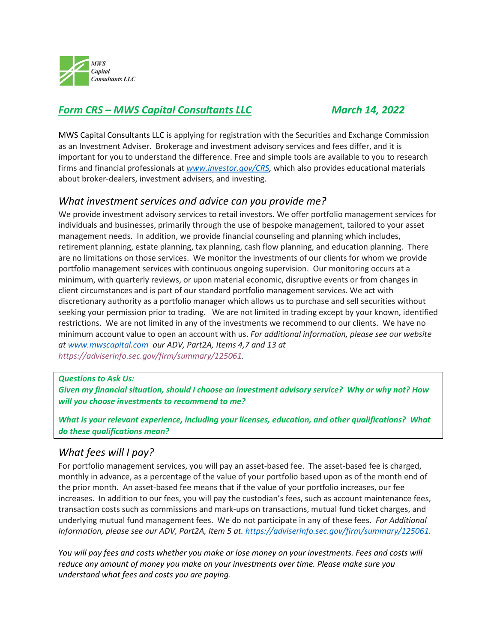

# *Form CRS – MWS Capital Consultants LLC March 14, 2022*

MWS Capital Consultants LLC is applying for registration with the Securities and Exchange Commission as an Investment Adviser. Brokerage and investment advisory services and fees differ, and it is important for you to understand the difference. Free and simple tools are available to you to research firms and financial professionals at *[www.investor.gov/CRS,](http://www.investor.gov/CRS)* which also provides educational materials about broker-dealers, investment advisers, and investing.

## *What investment services and advice can you provide me?*

We provide investment advisory services to retail investors. We offer portfolio management services for individuals and businesses, primarily through the use of bespoke management, tailored to your asset management needs. In addition, we provide financial counseling and planning which includes, retirement planning, estate planning, tax planning, cash flow planning, and education planning. There are no limitations on those services. We monitor the investments of our clients for whom we provide portfolio management services with continuous ongoing supervision. Our monitoring occurs at a minimum, with quarterly reviews, or upon material economic, disruptive events or from changes in client circumstances and is part of our standard portfolio management services. We act with discretionary authority as a portfolio manager which allows us to purchase and sell securities without seeking your permission prior to trading. We are not limited in trading except by your known, identified restrictions. We are not limited in any of the investments we recommend to our clients. We have no minimum account value to open an account with us. *For additional information, please see our website at [www.mwscapital.com](http://www.mwscapital.com/) our ADV, Part2A, Items 4,7 and 13 at [https://adviserinfo.sec.gov/firm/summary/125061.](https://adviserinfo.sec.gov/firm/summary/125061)*

#### *Questions to Ask Us:*

*Given my financial situation, should I choose an investment advisory service? Why or why not? How will you choose investments to recommend to me?* 

*What is your relevant experience, including your licenses, education, and other qualifications? What do these qualifications mean?* 

## *What fees will I pay?*

For portfolio management services, you will pay an asset-based fee. The asset-based fee is charged, monthly in advance, as a percentage of the value of your portfolio based upon as of the month end of the prior month. An asset-based fee means that if the value of your portfolio increases, our fee increases. In addition to our fees, you will pay the custodian's fees, such as account maintenance fees, transaction costs such as commissions and mark-ups on transactions, mutual fund ticket charges, and underlying mutual fund management fees. We do not participate in any of these fees. *For Additional Information, please see our ADV, Part2A, Item 5 at. [https://adviserinfo.sec.gov/firm/summary/125061.](https://adviserinfo.sec.gov/firm/summary/125061)*

*You will pay fees and costs whether you make or lose money on your investments. Fees and costs will reduce any amount of money you make on your investments over time. Please make sure you understand what fees and costs you are paying.*